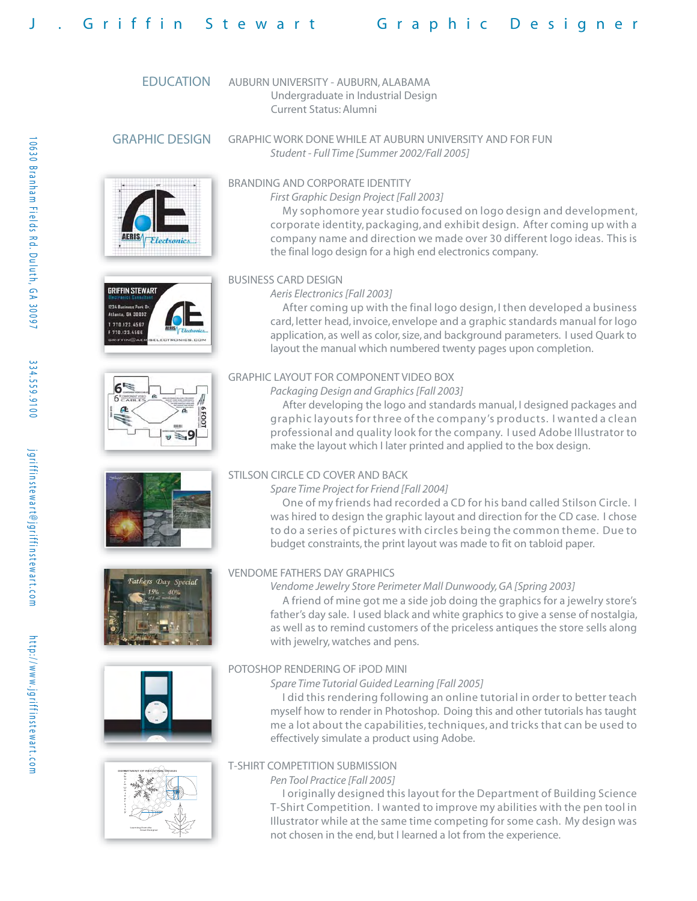# Griffin Stewart Graphic Designer

## EDUCATION

AUBURN UNIVERSITY - AUBURN, ALABAMA Undergraduate in Industrial Design Current Status: Alumni

## GRAPHIC DESIGN

















## BRANDING AND CORPORATE IDENTITY

*First Graphic Design Project [Fall 2003]*

GRAPHIC WORK DONE WHILE AT AUBURN UNIVERSITY AND FOR FUN

*Student - Full Time [Summer 2002/Fall 2005]*

 My sophomore year studio focused on logo design and development, corporate identity, packaging, and exhibit design. After coming up with a company name and direction we made over 30 different logo ideas. This is the final logo design for a high end electronics company.

## BUSINESS CARD DESIGN

#### *Aeris Electronics [Fall 2003]*

 After coming up with the final logo design, I then developed a business card, letter head, invoice, envelope and a graphic standards manual for logo application, as well as color, size, and background parameters. I used Quark to layout the manual which numbered twenty pages upon completion.

## GRAPHIC LAYOUT FOR COMPONENT VIDEO BOX

*Packaging Design and Graphics [Fall 2003]*

 After developing the logo and standards manual, I designed packages and graphic layouts for three of the company's products. I wanted a clean professional and quality look for the company. I used Adobe Illustrator to make the layout which I later printed and applied to the box design.

## STILSON CIRCLE CD COVER AND BACK

#### *Spare Time Project for Friend [Fall 2004]*

 One of my friends had recorded a CD for his band called Stilson Circle. I was hired to design the graphic layout and direction for the CD case. I chose to do a series of pictures with circles being the common theme. Due to budget constraints, the print layout was made to fit on tabloid paper.

## VENDOME FATHERS DAY GRAPHICS

#### *Vendome Jewelry Store Perimeter Mall Dunwoody, GA [Spring 2003]*

 A friend of mine got me a side job doing the graphics for a jewelry store's father's day sale. I used black and white graphics to give a sense of nostalgia, as well as to remind customers of the priceless antiques the store sells along with jewelry, watches and pens.

## POTOSHOP RENDERING OF iPOD MINI

#### *Spare Time Tutorial Guided Learning [Fall 2005]*

 I did this rendering following an online tutorial in order to better teach myself how to render in Photoshop. Doing this and other tutorials has taught me a lot about the capabilities, techniques, and tricks that can be used to effectively simulate a product using Adobe.

## T-SHIRT COMPETITION SUBMISSION

*Pen Tool Practice [Fall 2005]*

 I originally designed this layout for the Department of Building Science T-Shirt Competition. I wanted to improve my abilities with the pen tool in Illustrator while at the same time competing for some cash. My design was not chosen in the end, but I learned a lot from the experience.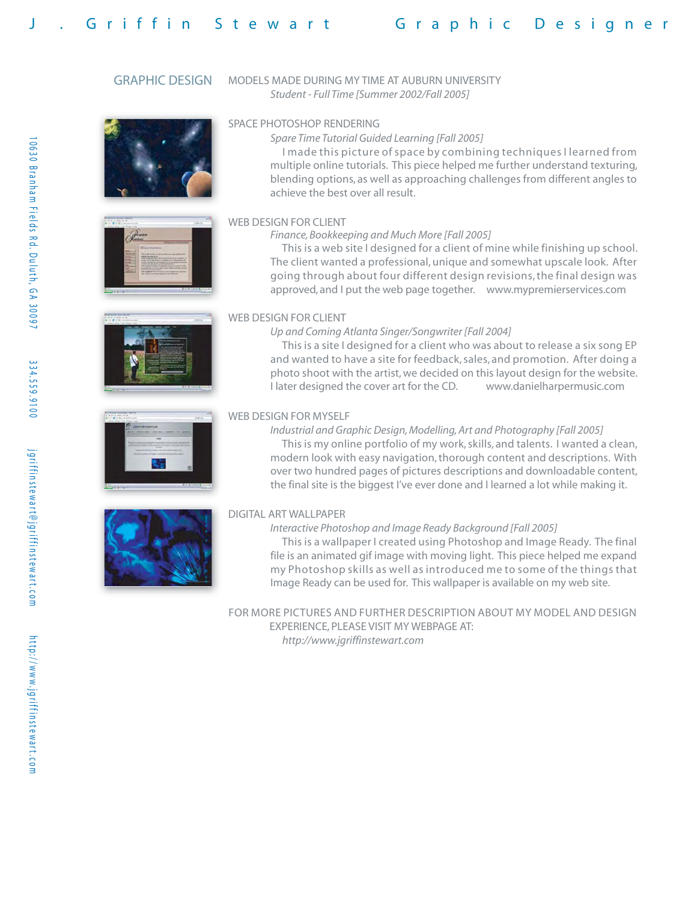## GRAPHIC DESIGN MODELS MADE DURING MY TIME AT AUBURN UNIVERSITY *Student - Full Time [Summer 2002/Fall 2005]*











## SPACE PHOTOSHOP RENDERING

#### *Spare Time Tutorial Guided Learning [Fall 2005]*

 I made this picture of space by combining techniques I learned from multiple online tutorials. This piece helped me further understand texturing, blending options, as well as approaching challenges from different angles to achieve the best over all result.

## WEB DESIGN FOR CLIENT

#### *Finance, Bookkeeping and Much More [Fall 2005]*

 This is a web site I designed for a client of mine while finishing up school. The client wanted a professional, unique and somewhat upscale look. After going through about four different design revisions, the final design was approved, and I put the web page together. www.mypremierservices.com

## WEB DESIGN FOR CLIENT

#### *Up and Coming Atlanta Singer/Songwriter [Fall 2004]*

 This is a site I designed for a client who was about to release a six song EP and wanted to have a site for feedback, sales, and promotion. After doing a photo shoot with the artist, we decided on this layout design for the website. I later designed the cover art for the CD. www.danielharpermusic.com

#### WEB DESIGN FOR MYSELF

*Industrial and Graphic Design, Modelling, Art and Photography [Fall 2005]* This is my online portfolio of my work, skills, and talents. I wanted a clean, modern look with easy navigation, thorough content and descriptions. With over two hundred pages of pictures descriptions and downloadable content, the final site is the biggest I've ever done and I learned a lot while making it.

#### DIGITAL ART WALLPAPER

#### *Interactive Photoshop and Image Ready Background [Fall 2005]*

 This is a wallpaper I created using Photoshop and Image Ready. The final file is an animated gif image with moving light. This piece helped me expand my Photoshop skills as well as introduced me to some of the things that Image Ready can be used for. This wallpaper is available on my web site.

FOR MORE PICTURES AND FURTHER DESCRIPTION ABOUT MY MODEL AND DESIGN EXPERIENCE, PLEASE VISIT MY WEBPAGE AT:  *http://www.jgriffinstewart.com*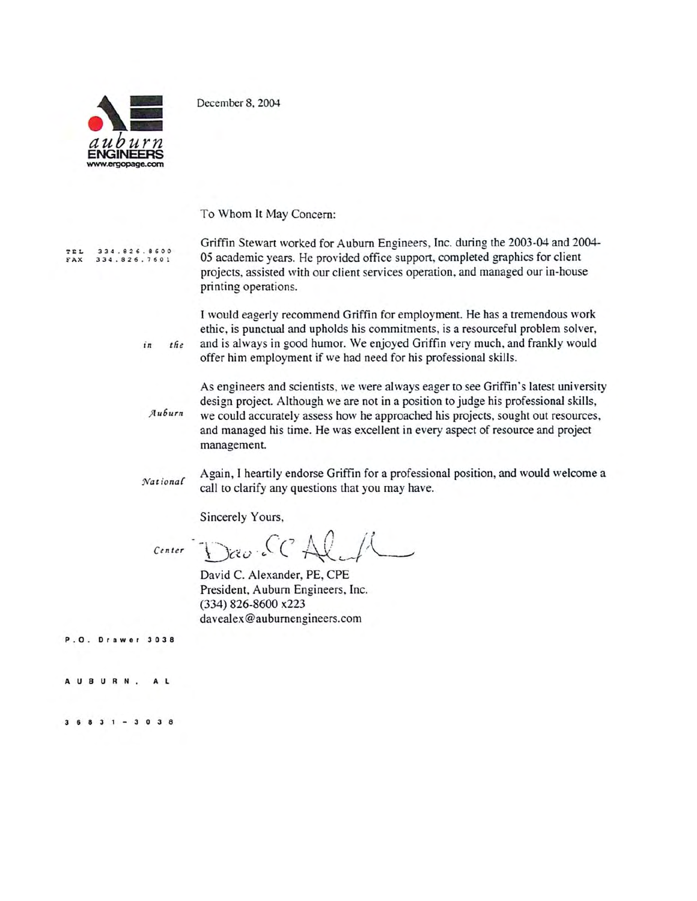December 8, 2004



 $\sum_{i=1}^{n}$ 

 $the$ 

To Whom It May Concern:

Griffin Stewart worked for Auburn Engineers, Inc. during the 2003-04 and 2004-334.826.8600<br>334.826.7601 TEL 05 academic years. He provided office support, completed graphics for client FAX projects, assisted with our client services operation, and managed our in-house printing operations.

> I would eagerly recommend Griffin for employment. He has a tremendous work ethic, is punctual and upholds his commitments, is a resourceful problem solver, and is always in good humor. We enjoyed Griffin very much, and frankly would offer him employment if we had need for his professional skills.

As engineers and scientists, we were always eager to see Griffin's latest university design project. Although we are not in a position to judge his professional skills, Auburn we could accurately assess how he approached his projects, sought out resources, and managed his time. He was excellent in every aspect of resource and project management.

Again, I heartily endorse Griffin for a professional position, and would welcome a National call to clarify any questions that you may have.

Sincerely Yours,

Center Dav. CCAll

David C. Alexander, PE, CPE President, Auburn Engineers, Inc. (334) 826-8600 x223 davealex@auburnengineers.com

P.O. Drawer 3038

AUBURN. A L

 $36831 - 3038$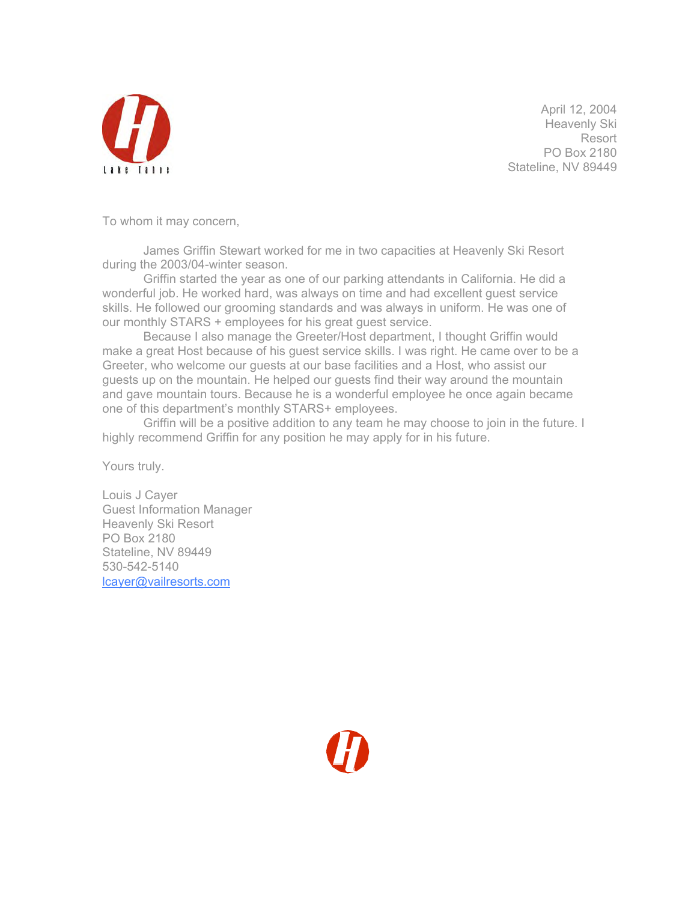

April 12, 2004 Heavenly Ski Resort PO Box 2180 Stateline, NV 89449

To whom it may concern,

James Griffin Stewart worked for me in two capacities at Heavenly Ski Resort during the 2003/04-winter season.

Griffin started the year as one of our parking attendants in California. He did a wonderful job. He worked hard, was always on time and had excellent guest service skills. He followed our grooming standards and was always in uniform. He was one of our monthly STARS + employees for his great guest service.

Because I also manage the Greeter/Host department, I thought Griffin would make a great Host because of his guest service skills. I was right. He came over to be a Greeter, who welcome our guests at our base facilities and a Host, who assist our guests up on the mountain. He helped our guests find their way around the mountain and gave mountain tours. Because he is a wonderful employee he once again became one of this department's monthly STARS+ employees.

Griffin will be a positive addition to any team he may choose to join in the future. I highly recommend Griffin for any position he may apply for in his future.

Yours truly.

Louis J Cayer Guest Information Manager Heavenly Ski Resort PO Box 2180 Stateline, NV 89449 530-542-5140 lcayer@vailresorts.com

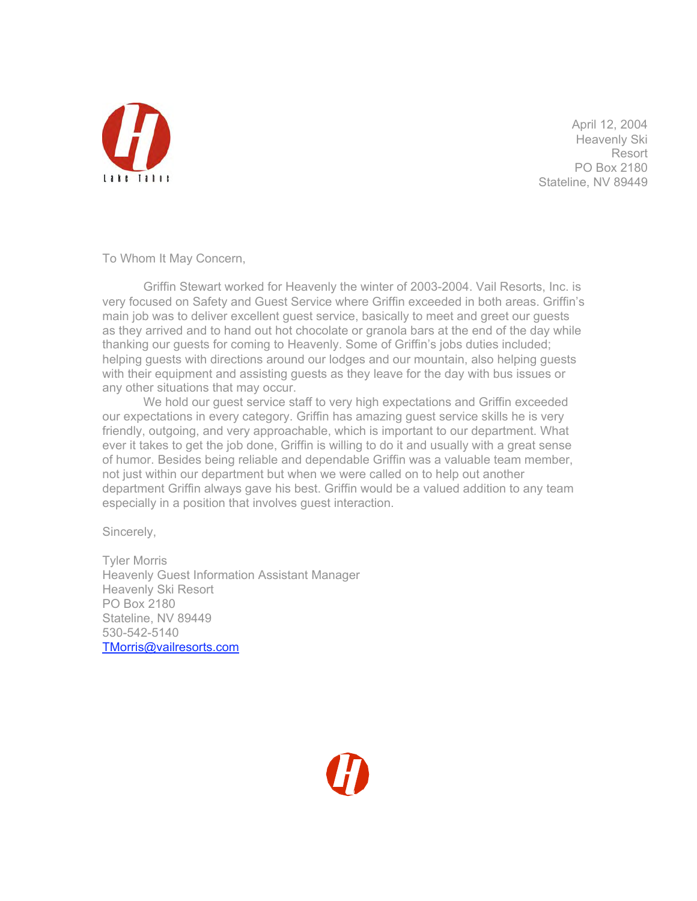

April 12, 2004 Heavenly Ski Resort PO Box 2180 Stateline, NV 89449

To Whom It May Concern,

Griffin Stewart worked for Heavenly the winter of 2003-2004. Vail Resorts, Inc. is very focused on Safety and Guest Service where Griffin exceeded in both areas. Griffin's main job was to deliver excellent guest service, basically to meet and greet our guests as they arrived and to hand out hot chocolate or granola bars at the end of the day while thanking our guests for coming to Heavenly. Some of Griffin's jobs duties included; helping guests with directions around our lodges and our mountain, also helping guests with their equipment and assisting guests as they leave for the day with bus issues or any other situations that may occur.

We hold our guest service staff to very high expectations and Griffin exceeded our expectations in every category. Griffin has amazing guest service skills he is very friendly, outgoing, and very approachable, which is important to our department. What ever it takes to get the job done, Griffin is willing to do it and usually with a great sense of humor. Besides being reliable and dependable Griffin was a valuable team member, not just within our department but when we were called on to help out another department Griffin always gave his best. Griffin would be a valued addition to any team especially in a position that involves guest interaction.

Sincerely,

Tyler Morris Heavenly Guest Information Assistant Manager Heavenly Ski Resort PO Box 2180 Stateline, NV 89449 530-542-5140 TMorris@vailresorts.com

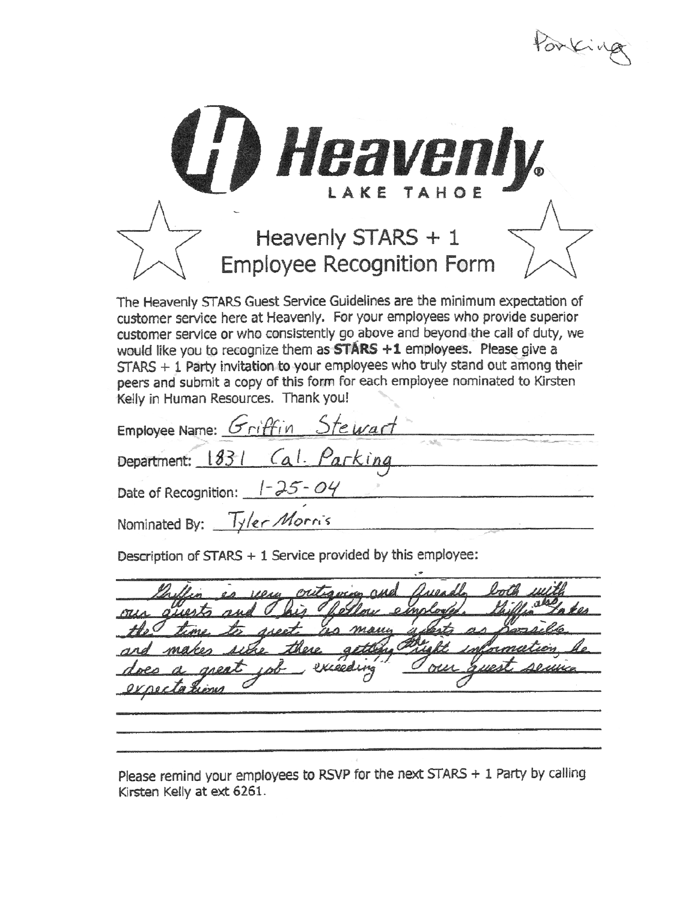Porking



Date of Recognition: 1-25-04 Nominated By: Tyler Morris

Description of STARS + 1 Service provided by this employee:

Kieeding

Please remind your employees to RSVP for the next STARS + 1 Party by calling Kirsten Kelly at ext 6261.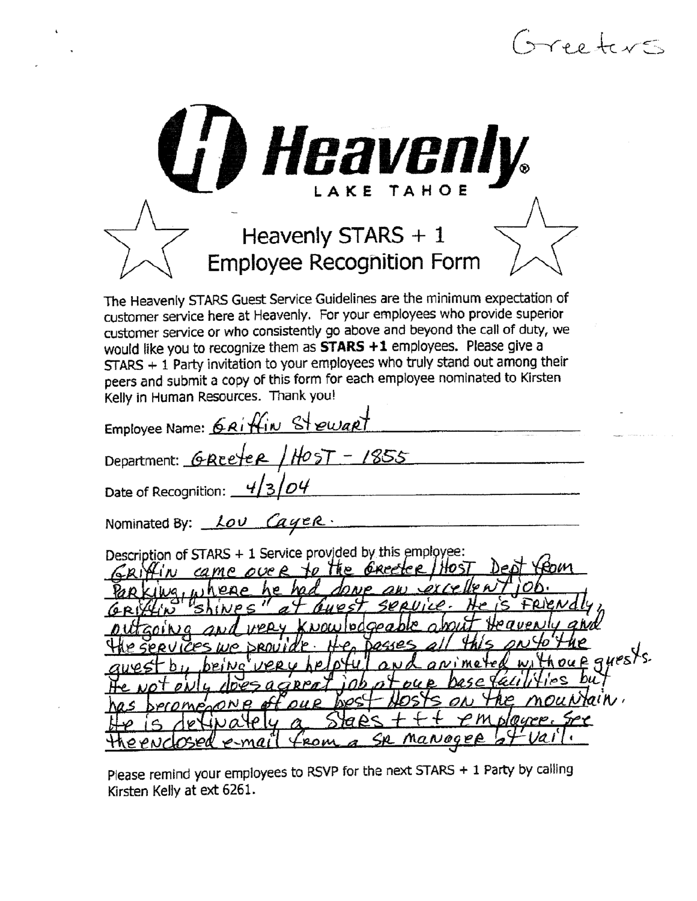| $5$ ree terms                                                                                                                                                                                                                                                                                                                                                                                                                                                                                                                                                      |
|--------------------------------------------------------------------------------------------------------------------------------------------------------------------------------------------------------------------------------------------------------------------------------------------------------------------------------------------------------------------------------------------------------------------------------------------------------------------------------------------------------------------------------------------------------------------|
| <b>C') Heavenly.</b><br><b>TAHOE</b><br>LAKE<br>Heavenly STARS + 1<br>Employee Recognition Form                                                                                                                                                                                                                                                                                                                                                                                                                                                                    |
| The Heavenly STARS Guest Service Guidelines are the minimum expectation of<br>customer service here at Heavenly. For your employees who provide superior<br>customer service or who consistently go above and beyond the call of duty, we<br>would like you to recognize them as <b>STARS +1</b> employees. Please give a<br>STARS + 1 Party invitation to your employees who truly stand out among their<br>peers and submit a copy of this form for each employee nominated to Kirsten<br>Kelly in Human Resources. Thank you!<br>Employee Name: GRIffin Stewart |
| Department: GREeter / HOST - 1855<br>Date of Recognition: $4/3/04$                                                                                                                                                                                                                                                                                                                                                                                                                                                                                                 |
| Nominated By: Lov Cayer.                                                                                                                                                                                                                                                                                                                                                                                                                                                                                                                                           |
| Description of STARS + 1 Service provided by this employee:<br><b>The</b><br>came over<br>neae<br>'nΡ<br>SERVILE<br>юZ<br>our quests<br>jos<br>blloure,<br>SR MaNager                                                                                                                                                                                                                                                                                                                                                                                              |

 $\mathbf{v}$  $\sim$ 

 $\sim$ 

Please remind your employees to RSVP for the next STARS + 1 Party by calling<br>Kirsten Kelly at ext 6261.